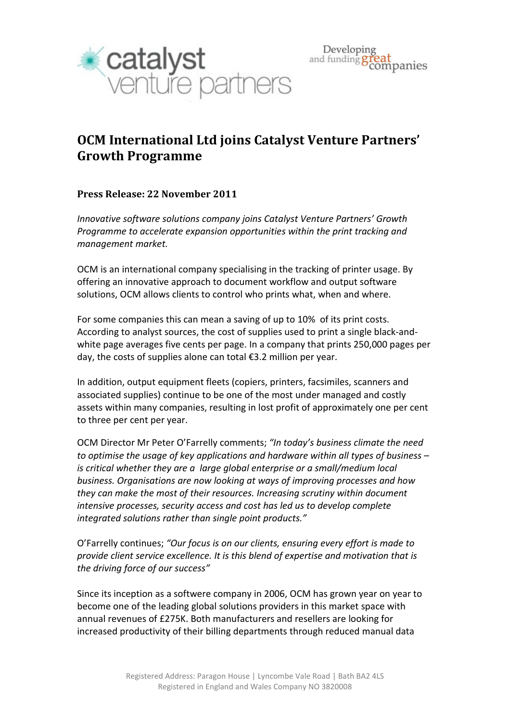

## OCM International Ltd joins Catalyst Venture Partners' Growth Programme

## Press Release: 22 November 2011

Innovative software solutions company joins Catalyst Venture Partners' Growth Programme to accelerate expansion opportunities within the print tracking and management market.

OCM is an international company specialising in the tracking of printer usage. By offering an innovative approach to document workflow and output software solutions, OCM allows clients to control who prints what, when and where.

For some companies this can mean a saving of up to 10% of its print costs. According to analyst sources, the cost of supplies used to print a single black-andwhite page averages five cents per page. In a company that prints 250,000 pages per day, the costs of supplies alone can total €3.2 million per year.

In addition, output equipment fleets (copiers, printers, facsimiles, scanners and associated supplies) continue to be one of the most under managed and costly assets within many companies, resulting in lost profit of approximately one per cent to three per cent per year.

OCM Director Mr Peter O'Farrelly comments; "In today's business climate the need to optimise the usage of key applications and hardware within all types of business – is critical whether they are a large global enterprise or a small/medium local business. Organisations are now looking at ways of improving processes and how they can make the most of their resources. Increasing scrutiny within document intensive processes, security access and cost has led us to develop complete integrated solutions rather than single point products."

O'Farrelly continues; "Our focus is on our clients, ensuring every effort is made to provide client service excellence. It is this blend of expertise and motivation that is the driving force of our success"

Since its inception as a softwere company in 2006, OCM has grown year on year to become one of the leading global solutions providers in this market space with annual revenues of £275K. Both manufacturers and resellers are looking for increased productivity of their billing departments through reduced manual data